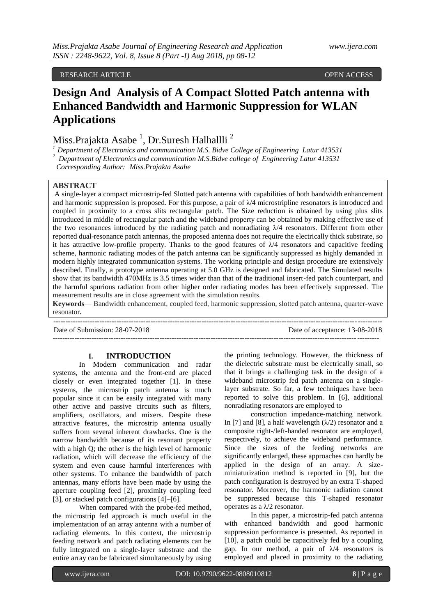RESEARCH ARTICLE **COPEN ACCESS** 

# **Design And Analysis of A Compact Slotted Patch antenna with Enhanced Bandwidth and Harmonic Suppression for WLAN Applications**

Miss.Prajakta Asabe <sup>1</sup>, Dr.Suresh Halhallli <sup>2</sup>

*<sup>1</sup>Department of Electronics and communication M.S. Bidve College of Engineering Latur 413531*

<sup>2</sup> Department of Electronics and communication M.S.Bidve college of Engineering Latur 413531

 *Corresponding Author: Miss.Prajakta Asabe*

## **ABSTRACT**

A single-layer a compact microstrip-fed Slotted patch antenna with capabilities of both bandwidth enhancement and harmonic suppression is proposed. For this purpose, a pair of  $\lambda/4$  microstripline resonators is introduced and coupled in proximity to a cross slits rectangular patch. The Size reduction is obtained by using plus slits introduced in middle of rectangular patch and the wideband property can be obtained by making effective use of the two resonances introduced by the radiating patch and nonradiating  $\lambda/4$  resonators. Different from other reported dual-resonance patch antennas, the proposed antenna does not require the electrically thick substrate, so it has attractive low-profile property. Thanks to the good features of  $\lambda/4$  resonators and capacitive feeding scheme, harmonic radiating modes of the patch antenna can be significantly suppressed as highly demanded in modern highly integrated communication systems. The working principle and design procedure are extensively described. Finally, a prototype antenna operating at 5.0 GHz is designed and fabricated. The Simulated results show that its bandwidth 470MHz is 3.5 times wider than that of the traditional insert-fed patch counterpart, and the harmful spurious radiation from other higher order radiating modes has been effectively suppressed. The measurement results are in close agreement with the simulation results.

**Keywords**— Bandwidth enhancement, coupled feed, harmonic suppression, slotted patch antenna, quarter-wave resonator**.** ---------------------------------------------------------------------------------------------------------------------------------------

Date of Submission: 28-07-2018 Date of acceptance: 13-08-2018 --------------------------------------------------------------------------------------------------------------------------------------

## **I. INTRODUCTION**

In Modern communication and radar systems, the antenna and the front-end are placed closely or even integrated together [1]. In these systems, the microstrip patch antenna is much popular since it can be easily integrated with many other active and passive circuits such as filters, amplifiers, oscillators, and mixers. Despite these attractive features, the microstrip antenna usually suffers from several inherent drawbacks. One is the narrow bandwidth because of its resonant property with a high Q; the other is the high level of harmonic radiation, which will decrease the efficiency of the system and even cause harmful interferences with other systems. To enhance the bandwidth of patch antennas, many efforts have been made by using the aperture coupling feed [2], proximity coupling feed [3], or stacked patch configurations [4]–[6].

When compared with the probe-fed method, the microstrip fed approach is much useful in the implementation of an array antenna with a number of radiating elements. In this context, the microstrip feeding network and patch radiating elements can be fully integrated on a single-layer substrate and the entire array can be fabricated simultaneously by using

the printing technology. However, the thickness of the dielectric substrate must be electrically small, so that it brings a challenging task in the design of a wideband microstrip fed patch antenna on a singlelayer substrate. So far, a few techniques have been reported to solve this problem. In [6], additional nonradiating resonators are employed to

construction impedance-matching network. In [7] and [8], a half wavelength  $(\lambda/2)$  resonator and a composite right-/left-handed resonator are employed, respectively, to achieve the wideband performance. Since the sizes of the feeding networks are significantly enlarged, these approaches can hardly be applied in the design of an array. A sizeminiaturization method is reported in [9], but the patch configuration is destroyed by an extra T-shaped resonator. Moreover, the harmonic radiation cannot be suppressed because this T-shaped resonator operates as a  $\lambda/2$  resonator.

In this paper, a microstrip-fed patch antenna with enhanced bandwidth and good harmonic suppression performance is presented. As reported in [10], a patch could be capacitively fed by a coupling gap. In our method, a pair of  $\lambda/4$  resonators is employed and placed in proximity to the radiating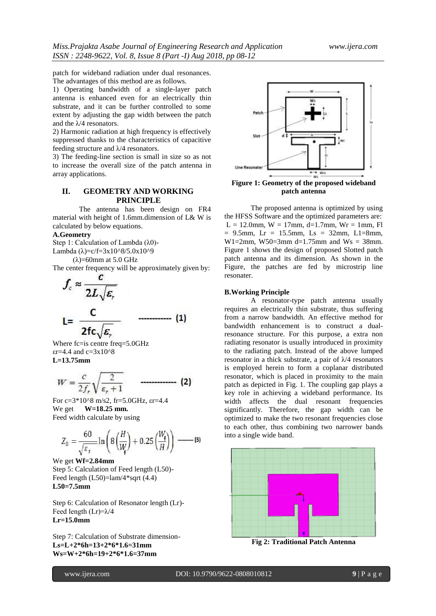patch for wideband radiation under dual resonances. The advantages of this method are as follows.

1) Operating bandwidth of a single-layer patch antenna is enhanced even for an electrically thin substrate, and it can be further controlled to some extent by adjusting the gap width between the patch and the  $\lambda$ /4 resonators.

2) Harmonic radiation at high frequency is effectively suppressed thanks to the characteristics of capacitive feeding structure and λ/4 resonators.

3) The feeding-line section is small in size so as not to increase the overall size of the patch antenna in array applications.

# **II. GEOMETRY AND WORKING PRINCIPLE**

The antenna has been design on FR4 material with height of 1.6mm.dimension of L& W is calculated by below equations.

#### **A.Geometry**

Step 1: Calculation of Lambda (λ0)- Lambda ( $\lambda$ )=c/f=3x10^8/5.0x10^9

(λ)=60mm at 5.0 GHz

The center frequency will be approximately given by:

- (1)

$$
f_c \approx \frac{c}{2L\sqrt{\varepsilon_r}}
$$

 $2fc$   $\varepsilon$ Where fc=is centre freq=5.0GHz  $\epsilon$ r=4.4 and c=3x10^8 **L=13.75mm**

$$
W = \frac{c}{2f_r} \sqrt{\frac{2}{\varepsilon_r + 1}} \qquad \qquad (2)
$$

For c=3\*10^8 m/s2, fr=5.0GHz, εr=4.4 We get **W=18.25 mm.** Feed width calculate by using

$$
Z_0 = \frac{60}{\sqrt{\varepsilon_r}} \ln \left( 8 \left( \frac{H}{W_{\text{f}}} \right) + 0.25 \left( \frac{W_{\text{f}}}{H} \right) \right) \longrightarrow \text{(3)}
$$

We get **Wf=2.84mm** Step 5: Calculation of Feed length (L50)- Feed length  $(L50)=lam/4*sqrt(4.4)$ **L50=7.5mm**

Step 6: Calculation of Resonator length (Lr)- Feed length (Lr)=λ/4 **Lr=15.0mm**

Step 7: Calculation of Substrate dimension-**Ls=L+2\*6h=13+2\*6\*1.6=31mm Ws=W+2\*6h=19+2\*6\*1.6=37mm**



**Figure 1: Geometry of the proposed wideband patch antenna**

The proposed antenna is optimized by using the HFSS Software and the optimized parameters are:  $L = 12.0$ mm,  $W = 17$ mm,  $d=1.7$ mm,  $Wr = 1$ mm, Fl  $= 9.5$ mm, Lr = 15.5mm, Ls = 32mm, L1=8mm, W1=2mm, W50=3mm d=1.75mm and Ws = 38mm. Figure 1 shows the design of proposed Slotted patch patch antenna and its dimension. As shown in the Figure, the patches are fed by microstrip line resonater.

#### **B.Working Principle**

A resonator-type patch antenna usually requires an electrically thin substrate, thus suffering from a narrow bandwidth. An effective method for bandwidth enhancement is to construct a dualresonance structure. For this purpose, a extra non radiating resonator is usually introduced in proximity to the radiating patch. Instead of the above lumped resonator in a thick substrate, a pair of  $\lambda/4$  resonators is employed herein to form a coplanar distributed resonator, which is placed in proximity to the main patch as depicted in Fig. 1. The coupling gap plays a key role in achieving a wideband performance. Its width affects the dual resonant frequencies significantly. Therefore, the gap width can be optimized to make the two resonant frequencies close to each other, thus combining two narrower bands into a single wide band.



**Fig 2: Traditional Patch Antenna**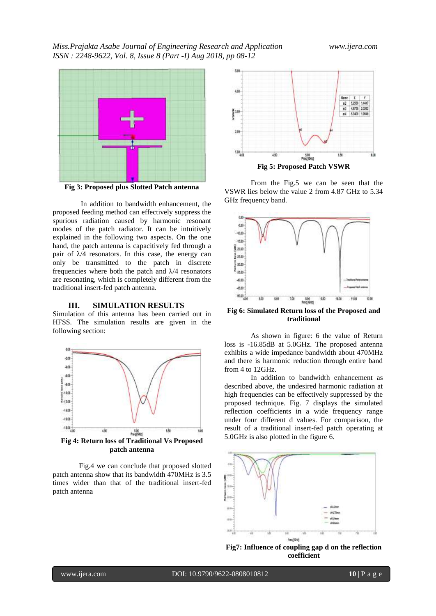

**Fig 3: Proposed plus Slotted Patch antenna**

In addition to bandwidth enhancement, the proposed feeding method can effectively suppress the spurious radiation caused by harmonic resonant modes of the patch radiator. It can be intuitively explained in the following two aspects. On the one hand, the patch antenna is capacitively fed through a pair of  $\lambda/4$  resonators. In this case, the energy can only be transmitted to the patch in discrete frequencies where both the patch and  $\lambda$ /4 resonators are resonating, which is completely different from the traditional insert-fed patch antenna.

#### **III. SIMULATION RESULTS**

Simulation of this antenna has been carried out in HFSS. The simulation results are given in the following section:



Fig.4 we can conclude that proposed slotted patch antenna show that its bandwidth 470MHz is 3.5 times wider than that of the traditional insert-fed patch antenna



From the Fig.5 we can be seen that the VSWR lies below the value 2 from 4.87 GHz to 5.34 GHz frequency band.



**Fig 6: Simulated Return loss of the Proposed and traditional**

As shown in figure: 6 the value of Return loss is -16.85dB at 5.0GHz. The proposed antenna exhibits a wide impedance bandwidth about 470MHz and there is harmonic reduction through entire band from 4 to 12GHz.

In addition to bandwidth enhancement as described above, the undesired harmonic radiation at high frequencies can be effectively suppressed by the proposed technique. Fig. 7 displays the simulated reflection coefficients in a wide frequency range under four different d values. For comparison, the result of a traditional insert-fed patch operating at 5.0GHz is also plotted in the figure 6.



**Fig7: Influence of coupling gap d on the reflection coefficient**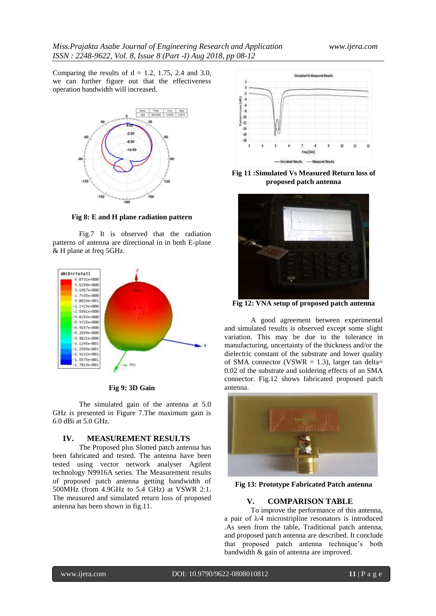Comparing the results of  $d = 1.2$ , 1.75, 2.4 and 3.0, we can further figure out that the effectiveness operation bandwidth will increased.



**Fig 8: E and H plane radiation pattern**

Fig.7 It is observed that the radiation patterns of antenna are directional in in both E-plane & H plane at freq 5GHz.



**Fig 9: 3D Gain**

The simulated gain of the antenna at 5.0 GHz is presented in Figure 7.The maximum gain is 6.0 dBi at 5.0 GHz.

### **IV. MEASUREMENT RESULTS**

The Proposed plus Slotted patch antenna has been fabricated and tested. The antenna have been tested using vector network analyser Agilent technology N9916A series. The Measurement results of proposed patch antenna getting bandwidth of 500MHz (from 4.9GHz to 5.4 GHz) at VSWR 2:1. The measured and simulated return loss of proposed antenna has been shown in fig.11.



**Fig 11 :Simulated Vs Measured Return loss of proposed patch antenna**



**Fig 12: VNA setup of proposed patch antenna**

A good agreement between experimental and simulated results is observed except some slight variation. This may be due to the tolerance in manufacturing, uncertainty of the thickness and/or the dielectric constant of the substrate and lower quality of SMA connector (VSWR  $=$  1.3), larger tan delta= 0.02 of the substrate and soldering effects of an SMA connector. Fig.12 shows fabricated proposed patch antenna.



**Fig 13: Prototype Fabricated Patch antenna**

# **V. COMPARISON TABLE**

To improve the performance of this antenna, a pair of  $\lambda$ /4 microstripline resonators is introduced .As seen from the table, Traditional patch antenna, and proposed patch antenna are described. It conclude that proposed patch antenna technique's both bandwidth & gain of antenna are improved.